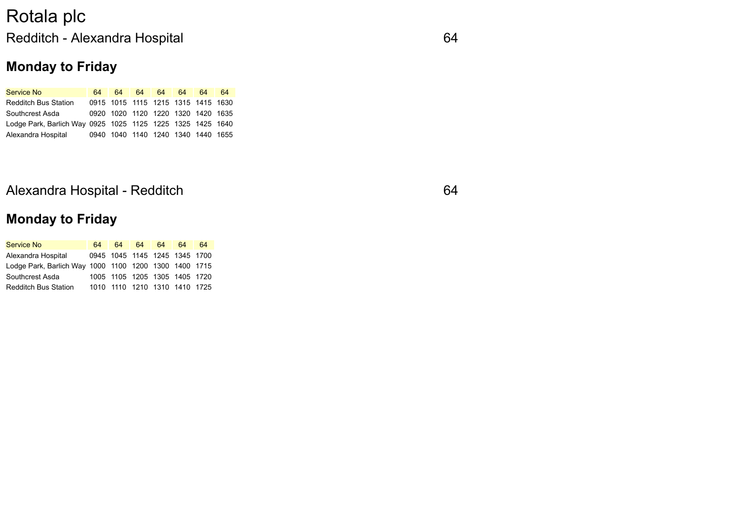## Rotala plc Redditch - Alexandra Hospital 64

### **Monday to Friday**

| <b>Service No</b>                                          | 64 | 64 <b>S</b>                        | 64 64 | 64 l | 64 I | -64 |
|------------------------------------------------------------|----|------------------------------------|-------|------|------|-----|
| <b>Redditch Bus Station</b>                                |    | 0915 1015 1115 1215 1315 1415 1630 |       |      |      |     |
| <b>Southcrest Asda</b>                                     |    | 0920 1020 1120 1220 1320 1420 1635 |       |      |      |     |
| Lodge Park, Barlich Way 0925 1025 1125 1225 1325 1425 1640 |    |                                    |       |      |      |     |
| Alexandra Hospital                                         |    | 0940 1040 1140 1240 1340 1440 1655 |       |      |      |     |

#### Alexandra Hospital - Redditch 64

### **Monday to Friday**

| <b>Service No</b>                                     | 64. |  | 64 64 64                      | 64 | 64 |
|-------------------------------------------------------|-----|--|-------------------------------|----|----|
| Alexandra Hospital                                    |     |  | 0945 1045 1145 1245 1345 1700 |    |    |
| Lodge Park, Barlich Way 1000 1100 1200 1300 1400 1715 |     |  |                               |    |    |
| Southcrest Asda                                       |     |  | 1005 1105 1205 1305 1405 1720 |    |    |
| <b>Redditch Bus Station</b>                           |     |  | 1010 1110 1210 1310 1410 1725 |    |    |